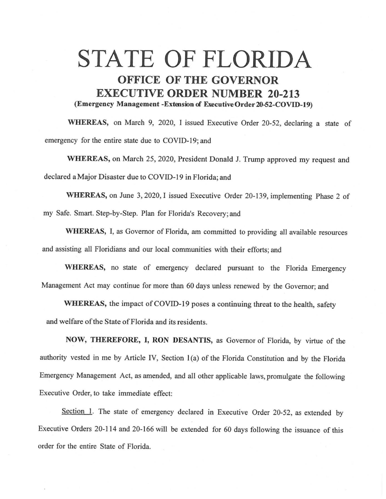## STATE OF FLORIDA **OFFICE OF THE GOVERNOR EXECUTIVE ORDER NUMBER 20-213 (Emergency Management -Extwsion of Executive0rder20-52-COVID-19)**

**WHEREAS,** on March 9, 2020, I issued Executive Order 20-52, declaring a state of emergency for the entire state due to COVID-19; and

**WHEREAS,** on March 25, 2020, President Donald J. Trump approved my request and declared a Major Disaster due to COVID-19 in Florida; and

**WHEREAS,** on June 3, 2020, I issued Executive Order 20-139, implementing Phase 2 of my Safe. Smart. Step-by-Step. Plan for Florida's Recovery; and

**WHEREAS,** I, as Governor of Florida, am committed to providing all available resources and assisting all Floridians and our local communities with their efforts; and

WHEREAS, no state of emergency declared pursuant to the Florida Emergency Management Act may continue for more than 60 days unless renewed by the Governor; and

**WHEREAS,** the impact of COVID-19 poses a continuing threat to the health, safety and welfare of the State of Florida and its residents.

**NOW, THEREFORE,** I, **RON DESANTIS,** as Governor of Florida, by virtue of the authority vested in me by Article IV, Section 1(a) of the Florida Constitution and by the Florida Emergency Management Act, as amended, and all other applicable laws, promulgate the following Executive Order, to take immediate effect:

Section 1. The state of emergency declared in Executive Order 20-52, as extended by Executive Orders 20-114 and 20-166 will be extended for 60 days following the issuance of this order for the entire State of Florida.